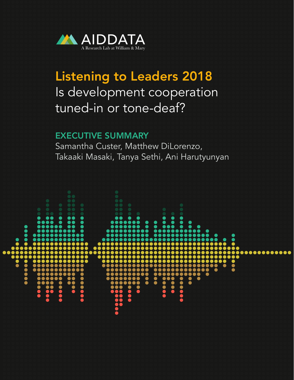

# Listening to Leaders 2018 Is development cooperation tuned-in or tone-deaf?

## EXECUTIVE SUMMARY

Samantha Custer, Matthew DiLorenzo, Takaaki Masaki, Tanya Sethi, Ani Harutyunyan

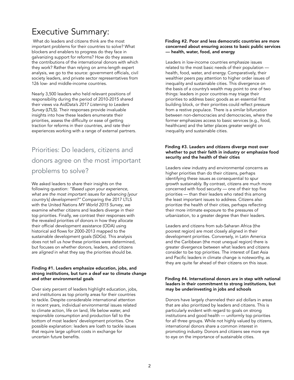# Executive Summary:

 What do leaders and citizens think are the most important problems for their countries to solve? What blockers and enablers to progress do they face in galvanizing support for reforms? How do they assess the contributions of the international donors with which they work? Rather than relying on arms-length expert analysis, we go to the source: government officials, civil society leaders, and private sector representatives from 126 low- and middle-income countries.

Nearly 3,500 leaders who held relevant positions of responsibility during the period of 2010-2015 shared their views via AidData's *2017 Listening to Leaders Survey* (LTLS). Their responses provide invaluable insights into how these leaders enumerate their priorities, assess the difficulty or ease of getting traction for reforms in their countries, and rate their experiences working with a range of external partners.

# Priorities: Do leaders, citizens and donors agree on the most important problems to solve?

We asked leaders to share their insights on the following question: *"Based upon your experience, what are the most important issues for advancing [your country's] development?"* Comparing the 2017 LTLS with the United Nations *MY World 2015 Survey*, we examine whether citizens and leaders diverge in their top priorities. Finally, we contrast their responses with the revealed priorities of donors in how they allocate their official development assistance (ODA) using historical aid flows for 2000-2013 mapped to the sustainable development goals (SDGs). This analysis does not tell us *how* these priorities were determined, but focuses on whether donors, leaders, and citizens are *aligned* in what they say the priorities should be.

#### Finding #1. Leaders emphasize education, jobs, and strong institutions, but turn a deaf ear to climate change and other environmental goals

Over sixty percent of leaders highlight education, jobs, and institutions as top priority areas for their countries to tackle. Despite considerable international attention in recent years, individual environmental issues related to climate action, life on land, life below water, and responsible consumption and production fall to the bottom of most leaders' development priorities. One possible explanation: leaders are loath to tackle issues that require large upfront costs in exchange for uncertain future benefits.

#### Finding #2. Poor and less democratic countries are more concerned about ensuring access to basic public services — health, water, food, and energy

Leaders in low-income countries emphasize issues related to the most basic needs of their population health, food, water, and energy. Comparatively, their wealthier peers pay attention to higher order issues of inequality and sustainable cities. This divergence on the basis of a country's wealth may point to one of two things: leaders in poor countries may triage their priorities to address basic goods as an essential first building block, or their priorities could reflect pressure from a restive populace. There is a similar bifurcation between non-democracies and democracies, where the former emphasizes access to basic services (e.g., food, healthcare) and the latter places greater weight on inequality and sustainable cities.

#### Finding #3. Leaders and citizens diverge most over whether to put their faith in industry or emphasize food security and the health of their cities

Leaders view industry and environmental concerns as higher priorities than do their citizens, perhaps identifying these issues as consequential to spur growth sustainably. By contrast, citizens are much more concerned with food security — one of their top five priorities — than their leaders who rated this among the least important issues to address. Citizens also prioritize the health of their cities, perhaps reflecting their more intimate exposure to the pressures of urbanization, to a greater degree than their leaders.

Leaders and citizens from sub-Saharan Africa (the poorest region) are most closely aligned in their development priorities. Conversely, in Latin America and the Caribbean (the most unequal region) there is greater divergence between what leaders and citizens consider to be top priorities. The interest of East Asia and Pacific leaders in climate change is noteworthy, as they are quite far ahead of their citizens on this issue.

#### Finding #4. International donors are in step with national leaders in their commitment to strong institutions, but may be underinvesting in jobs and schools

Donors have largely channeled their aid dollars in areas that are also prioritized by leaders and citizens. This is particularly evident with regard to goals on strong institutions and good health — uniformly top priorities for all three groups. While not highly valued by citizens, international donors share a common interest in promoting industry. Donors and citizens see more eye to eye on the importance of sustainable cities.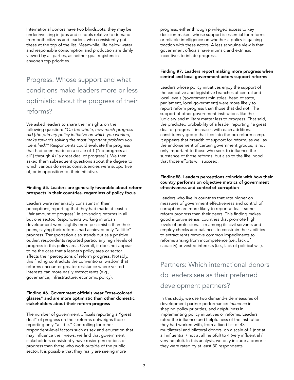International donors have two blindspots: they may be underinvesting in jobs and schools relative to demand from both citizens and leaders, who consistently put these at the top of the list. Meanwhile, life below water and responsible consumption and production are dimly viewed by all parties, as neither goal registers in anyone's top priorities.

 Progress: Whose support and what conditions make leaders more or less optimistic about the progress of their reforms?

We asked leaders to share their insights on the following question: *"On the whole, how much progress did [the primary policy initiative on which you worked] make towards solving the most important problem you identified?"* Respondents could evaluate the progress that had been made on a scale of 1 ("no progress at all") through 4 ("a great deal of progress"). We then asked them subsequent questions about the degree to which various domestic constituencies were supportive of, or in opposition to, their initiative.

#### Finding #5. Leaders are generally favorable about reform prospects in their countries, regardless of policy focus

Leaders were remarkably consistent in their perceptions, reporting that they had made at least a "fair amount of progress" in advancing reforms in all but one sector. Respondents working in urban development were slightly more pessimistic than their peers, saying their reforms had achieved only "a little" progress. Transportation also stands out as a positive outlier: respondents reported particularly high levels of progress in this policy area. Overall, it does not appear to be the case that a leader's policy area or sector affects their perceptions of reform progress. Notably, this finding contradicts the conventional wisdom that reforms encounter greater resistance where vested interests can more easily extract rents (e.g., governance, infrastructure, economic policy).

#### Finding #6. Government officials wear "rose-colored glasses" and are more optimistic than other domestic stakeholders about their reform progress

The number of government officials reporting a "great deal" of progress on their reforms outweighs those reporting only "a little." Controlling for other respondent-level factors such as sex and education that may influence their views, we find that government stakeholders consistently have rosier perceptions of progress than those who work outside of the public sector. It is possible that they really are seeing more

progress, either through privileged access to key decision-makers whose support is essential for reforms or reliable intelligence on whether a policy is gaining traction with these actors. A less sanguine view is that government officials have intrinsic and extrinsic incentives to inflate progress.

#### Finding #7. Leaders report making more progress when central and local government actors support reforms

Leaders whose policy initiatives enjoy the support of the executive and legislative branches at central and local levels (government ministries, head of state, parliament, local government) were more likely to report reform progress than those that did not. The support of other government institutions like the judiciary and military matter less to progress. That said, the predicted probability of a leader reporting "a great deal of progress" increases with each additional constituency group that tips into the pro-reform camp. It appears that breadth of support for reform, as well as the endorsement of certain government groups, is not only important to those who seek to influence the substance of those reforms, but also to the likelihood that those efforts will succeed.

#### Finding#8. Leaders perceptions coincide with how their country performs on objective metrics of government effectiveness and control of corruption

Leaders who live in countries that rate higher on measures of government effectiveness and control of corruption are more likely to report at least some reform progress than their peers. This finding makes good intuitive sense: countries that promote high levels of professionalism among its civil servants and employ checks and balances to constrain their abilities to extract rents remove common impediments to reforms arising from incompetence (i.e., lack of capacity) or vested interests (i.e., lack of political will).

 Partners: Which international donors do leaders see as their preferred development partners?

In this study, we use two demand-side measures of development partner performance: *influence* in shaping policy priorities, and *helpfulness* in implementing policy initiatives or reforms. Leaders rated the influence and helpfulness of the institutions they had worked with, from a fixed list of 43 multilateral and bilateral donors, on a scale of 1 (not at all influential / not at all helpful) to 4 (very influential / very helpful). In this analysis, we only include a donor if they were rated by at least 30 respondents.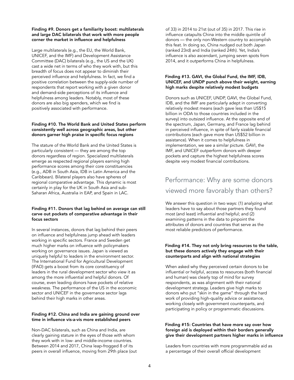#### Finding #9. Donors get a familiarity boost: multilaterals and large DAC bilaterals that work with more people corner the market in influence and helpfulness

Large multilaterals (e.g., the EU, the World Bank, UNICEF, and the IMF) and Development Assistance Committee (DAC) bilaterals (e.g., the US and the UK) cast a wide net in terms of who they work with, but this breadth of focus does not appear to diminish their perceived influence and helpfulness. In fact, we find a positive correlation between the supply-side number of respondents that report working with a given donor and demand-side perceptions of its influence and helpfulness among leaders. Notably, most of these donors are also big spenders, which we find is positively associated with performance.

#### Finding #10. The World Bank and United States perform consistently well across geographic areas, but other donors garner high praise in specific focus regions

The stature of the World Bank and the United States is particularly consistent — they are among the top donors regardless of region. Specialized multilaterals emerge as respected regional players earning high performance scores among their core constituencies (e.g., ADB in South Asia, IDB in Latin America and the Caribbean). Bilateral players also have spheres of regional comparative advantage. This dynamic is most certainly in play for the UK in South Asia and sub-Saharan Africa, Australia in EAP, and Spain in LAC.

#### Finding #11. Donors that lag behind on average can still carve out pockets of comparative advantage in their focus sectors

In several instances, donors that lag behind their peers on influence and helpfulness jump ahead with leaders working in specific sectors. France and Sweden get much higher marks on influence with policymakers working on governance issues. Japan is viewed as uniquely helpful to leaders in the environment sector. The International Fund for Agricultural Development (IFAD) gets a boost from its core constituency of leaders in the rural development sector who view it as among the more influential and helpful donors. Of course, even leading donors have pockets of relative weakness. The performance of the US in the economic sector and UNICEF in the governance sector lags behind their high marks in other areas.

#### Finding #12. China and India are gaining ground over time in influence vis-a-vis more established peers

Non-DAC bilaterals, such as China and India, are clearly gaining stature in the eyes of those with whom they work with in low- and middle-income countries. Between 2014 and 2017, China leap-frogged 8 of its peers in overall influence, moving from 29th place (out of 33) in 2014 to 21st (out of 35) in 2017. This rise in influence catapults China into the middle quintile of donors — the only non-Western country to accomplish this feat. In doing so, China nudged out both Japan (ranked 23rd) and India (ranked 24th). Yet, India's influence is also ascendant, jumping seven spots from 2014, and it outperforms China in helpfulness.

#### Finding #13. GAVI, the Global Fund, the IMF, IDB, UNICEF, and UNDP punch above their weight, earning high marks despite relatively modest budgets

Donors such as UNICEF, UNDP, GAVI, the Global Fund, IDB, and the IMF are particularly adept in converting relatively modest means (each gave less than US\$15 billion in ODA to those countries included in the survey) into outsized influence. At the opposite end of the spectrum, Japan, Germany, and France lag behind in perceived influence, in spite of fairly sizable financial contributions (each gave more than US\$52 billion in assistance). When it comes to helpfulness in implementation, we see a similar picture. GAVI, the IMF, and UNICEF outperform donors with deeper pockets and capture the highest helpfulness scores despite very modest financial contributions.

## Performance: Why are some donors viewed more favorably than others?

We answer this question in two ways: (1) analyzing what leaders have to say about those partners they found most (and least) influential and helpful; and (2) examining patterns in the data to pinpoint the attributes of donors and countries that serve as the most reliable predictors of performance.

#### Finding #14. They not only bring resources to the table, but these donors actively they engage with their counterparts and align with national strategies

When asked why they perceived certain donors to be influential or helpful, access to resources (both financial and human) was clearly top of mind for survey respondents, as was alignment with their national development strategy. Leaders give high marks to donors who put "skin in the game" through the hard work of providing high-quality advice or assistance, working closely with government counterparts, and participating in policy or programmatic discussions.

#### Finding #15: Countries that have more say over how foreign aid is deployed within their borders generally give their development partners higher marks in influence

Leaders from countries with more programmable aid as a percentage of their overall official development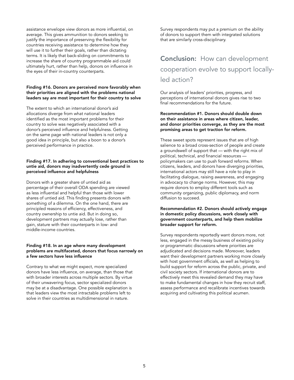assistance envelope view donors as more influential, on average. This gives ammunition to donors seeking to justify the importance of preserving the flexibility for countries receiving assistance to determine how they will use it to further their goals, rather than dictating terms. It is likely that back-sliding on commitments to increase the share of country programmable aid could ultimately hurt, rather than help, donors on influence in the eyes of their in-country counterparts.

#### Finding #16. Donors are perceived more favorably when their priorities are aligned with the problems national leaders say are most important for their country to solve

The extent to which an international donor's aid allocations diverge from what national leaders identified as the most important problems for their country to solve was negatively associated with a donor's perceived influence and helpfulness. Getting on the same page with national leaders is not only a good idea in principle, but also a boon to a donor's perceived performance in practice.

#### Finding #17. In adhering to conventional best practices to untie aid, donors may inadvertently cede ground in perceived influence and helpfulness

Donors with a greater share of untied aid as percentage of their overall ODA spending are viewed as less influential and helpful than those with lower shares of untied aid. This finding presents donors with something of a dilemma. On the one hand, there are principled reasons of efficiency, effectiveness, and country ownership to untie aid. But in doing so, development partners may actually lose, rather than gain, stature with their counterparts in low- and middle-income countries.

#### Finding #18. In an age where many development problems are multifaceted, donors that focus narrowly on a few sectors have less influence

Contrary to what we might expect, more specialized donors have less influence, on average, than those that with broader interests across multiple sectors. By virtue of their unwavering focus, sector specialized donors may be at a disadvantage. One possible explanation is that leaders view the most intractable problems left to solve in their countries as multidimensional in nature.

Survey respondents may put a premium on the ability of donors to support them with integrated solutions that are similarly cross-disciplinary.

# Conclusion: How can development cooperation evolve to support locallyled action?

Our analysis of leaders' priorities, progress, and perceptions of international donors gives rise to two final recommendations for the future.

#### Recommendation #1. Donors should double down on their assistance in areas where citizen, leader, and donor priorities converge, as they are the most promising areas to get traction for reform.

These sweet spots represent issues that are of high salience to a broad cross-section of people and create a groundswell of support that — with the right mix of political, technical, and financial resources policymakers can use to push forward reforms. When citizens, leaders, and donors have diverging priorities, international actors may still have a role to play in facilitating dialogue, raising awareness, and engaging in advocacy to change norms. However, this may require donors to employ different tools such as community organizing, public diplomacy, and norm diffusion to succeed.

#### Recommendation #2. Donors should actively engage in domestic policy discussions, work closely with government counterparts, and help them mobilize broader support for reform.

Survey respondents reportedly want donors more, not less, engaged in the messy business of existing policy or programmatic discussions where priorities are adjudicated and decisions made. Moreover, leaders want their development partners working more closely with host government officials, as well as helping to build support for reform across the public, private, and civil society sectors. If international donors are to effectively meet this revealed demand they may have to make fundamental changes in how they recruit staff, assess performance and recalibrate incentives towards acquiring and cultivating this political acumen.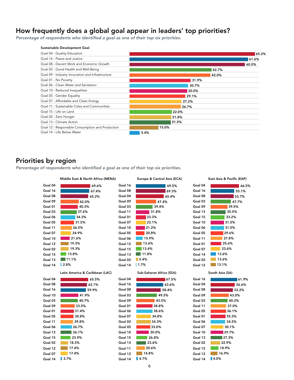### How frequently does a global goal appear in leaders' top priorities?

*Percentage of respondents who identified a goal as one of their top six priorities.* 



### Priorities by region

*Percentage of respondents who identified a goal as one of their top six priorities.* 

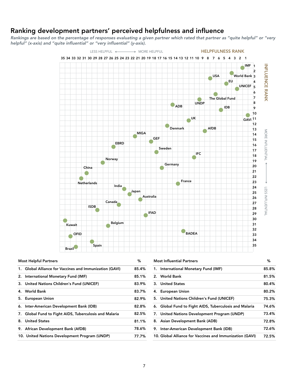### Ranking development partners' perceived helpfulness and influence

*Rankings are based on the percentage of responses evaluating a given partner which rated that partner as "quite helpful" or "very helpful" (x-axis) and "quite influential" or "very influential" (y-axis).* 



| <b>Most Helpful Partners</b>                            | ℅     |
|---------------------------------------------------------|-------|
| 1. Global Alliance for Vaccines and Immunization (GAVI) | 85.4% |
| International Monetary Fund (IMF)<br>2.                 | 85.1% |
| 3. United Nations Children's Fund (UNICEF)              | 83.9% |
| 4. World Bank                                           | 83.7% |
| 5. European Union                                       | 82.9% |
| 6. Inter-American Development Bank (IDB)                | 82.8% |
| 7. Global Fund to Fight AIDS, Tuberculosis and Malaria  | 82.5% |
| 8. United States                                        | 81.1% |
| 9. African Development Bank (AfDB)                      | 78.6% |
| 10. United Nations Development Program (UNDP)           | 77.7% |

| <b>Most Influential Partners</b>                         | %     |
|----------------------------------------------------------|-------|
| 1. International Monetary Fund (IMF)                     | 85.8% |
| 2. World Bank                                            | 81.5% |
| 3. United States                                         | 80.4% |
| 4. European Union                                        | 80.2% |
| 5. United Nations Children's Fund (UNICEF)               | 75.3% |
| 6. Global Fund to Fight AIDS, Tuberculosis and Malaria   | 74.6% |
| 7. United Nations Development Program (UNDP)             | 73.4% |
| 8. Asian Development Bank (ADB)                          | 72.8% |
| 9. Inter-American Development Bank (IDB)                 | 72.6% |
| 10. Global Alliance for Vaccines and Immunization (GAVI) | 72.5% |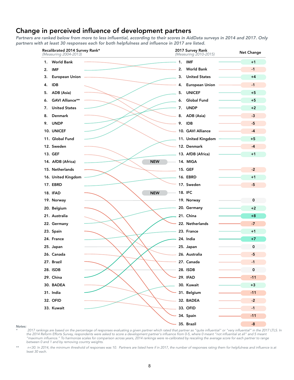### Change in perceived influence of development partners

*Partners are ranked below from more to less influential, according to their scores in AidData surveys in 2014 and 2017. Only partners with at least 30 responses each for both helpfulness and influence in 2017 are listed.* 



#### *Notes:*

*\* 2017 rankings are based on the percentage of responses evaluating a given partner which rated that partner as "quite influential" or "very influential" in the 2017 LTLS. In the 2014 Reform Efforts Survey, respondents were asked to score a development partner's influence from 0-5, where 0 meant "not influential at all" and 5 meant "maximum influence." To harmonize scales for comparison across years, 2014 rankings were re-calibrated by rescaling the average score for each partner to range between 0 and 1 and by removing country weights.* 

*\*\* n<30. In 2014, the minimum threshold of responses was 10. Partners are listed here if in 2017, the number of responses rating them for helpfulness and influence is at least 30 each.*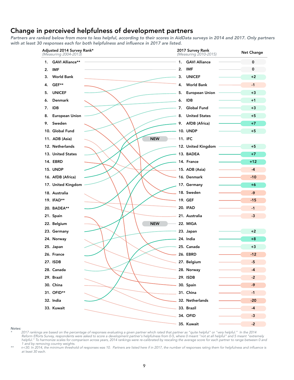### Change in perceived helpfulness of development partners

*Partners are ranked below from more to less helpful, according to their scores in AidData surveys in 2014 and 2017. Only partners with at least 30 responses each for both helpfulness and influence in 2017 are listed.* 



#### *Notes:*

*\* 2017 rankings are based on the percentage of responses evaluating a given partner which rated that partner as "quite helpful" or "very helpful." In the 2014 Reform Efforts Survey, respondents were asked to score a development partner's helpfulness from 0-5, where 0 meant "not at all helpful" and 5 meant "extremely helpful." To harmonize scales for comparison across years, 2014 rankings were re-calibrated by rescaling the average score for each partner to range between 0 and 1 and by removing country weights.* 

*\*\* n<30. In 2014, the minimum threshold of responses was 10. Partners are listed here if in 2017, the number of responses rating them for helpfulness and influence is at least 30 each.*